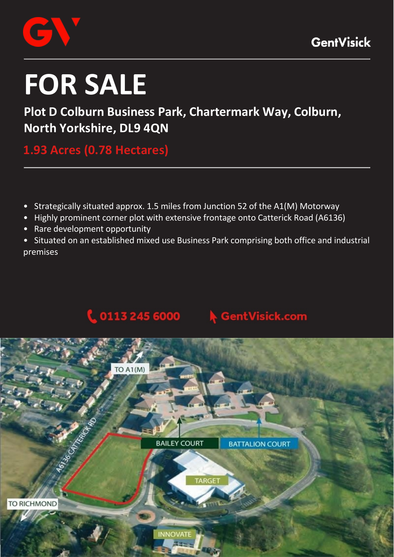

# **FOR SALE**

# **Plot D Colburn Business Park, Chartermark Way, Colburn, North Yorkshire, DL9 4QN**

**1.93 Acres (0.78 Hectares)** 

- Strategically situated approx. 1.5 miles from Junction 52 of the A1(M) Motorway
- Highly prominent corner plot with extensive frontage onto Catterick Road (A6136)
- Rare development opportunity
- Situated on an established mixed use Business Park comprising both office and industrial premises

#### $0.1132456000$ **GentVisick.com**